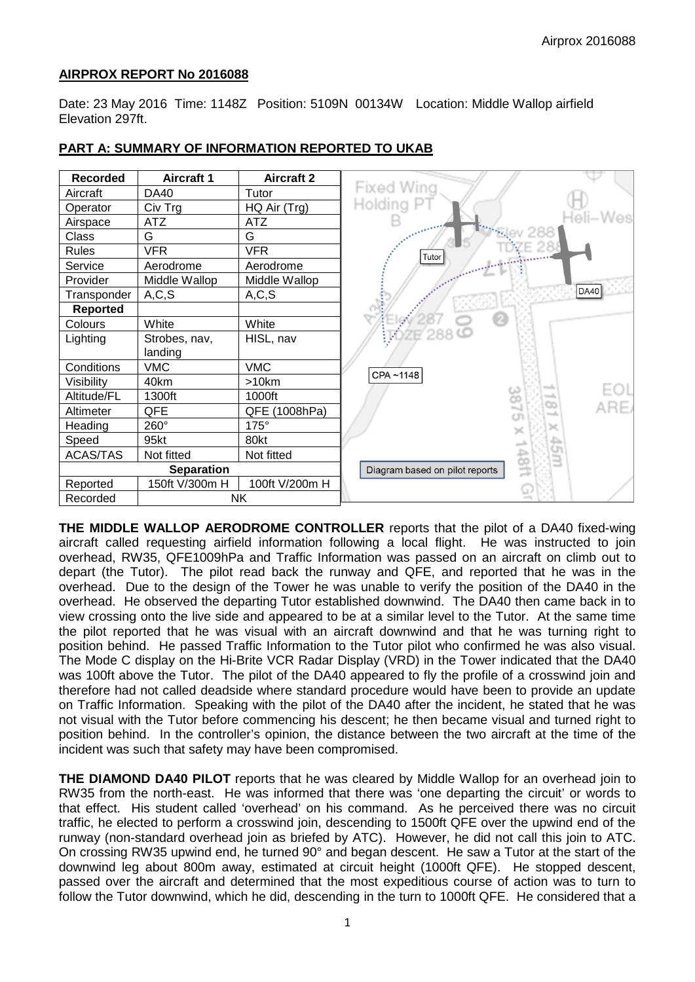### **AIRPROX REPORT No 2016088**

Date: 23 May 2016 Time: 1148Z Position: 5109N 00134W Location: Middle Wallop airfield Elevation 297ft.

| <b>Recorded</b> | <b>Aircraft 1</b> | <b>Aircraft 2</b> |
|-----------------|-------------------|-------------------|
| Aircraft        | DA40              | Tutor             |
| Operator        | Civ Trg           | HQ Air (Trg)      |
| Airspace        | <b>ATZ</b>        | <b>ATZ</b>        |
| <b>Class</b>    | G                 | G                 |
| <b>Rules</b>    | <b>VFR</b>        | <b>VFR</b>        |
| Service         | Aerodrome         | Aerodrome         |
| Provider        | Middle Wallop     | Middle Wallop     |
| Transponder     | A, C, S           | A, C, S           |
| <b>Reported</b> |                   |                   |
| Colours         | White             | White             |
| Lighting        | Strobes, nav,     | HISL, nav         |
|                 | landing           |                   |
| Conditions      | <b>VMC</b>        | <b>VMC</b>        |
| Visibility      | 40km              | >10km             |
| Altitude/FL     | 1300ft            | 1000ft            |
| Altimeter       | QFE               | QFE (1008hPa)     |
| Heading         | 260°              | 175°              |
| Speed           | 95kt              | 80kt              |
| <b>ACAS/TAS</b> | Not fitted        | Not fitted        |
|                 | <b>Separation</b> |                   |
| Reported        | 150ft V/300m H    | 100ft V/200m H    |
| Recorded        |                   | <b>NK</b>         |

#### **PART A: SUMMARY OF INFORMATION REPORTED TO UKAB**

**THE MIDDLE WALLOP AERODROME CONTROLLER** reports that the pilot of a DA40 fixed-wing aircraft called requesting airfield information following a local flight. He was instructed to join overhead, RW35, QFE1009hPa and Traffic Information was passed on an aircraft on climb out to depart (the Tutor). The pilot read back the runway and QFE, and reported that he was in the overhead. Due to the design of the Tower he was unable to verify the position of the DA40 in the overhead. He observed the departing Tutor established downwind. The DA40 then came back in to view crossing onto the live side and appeared to be at a similar level to the Tutor. At the same time the pilot reported that he was visual with an aircraft downwind and that he was turning right to position behind. He passed Traffic Information to the Tutor pilot who confirmed he was also visual. The Mode C display on the Hi-Brite VCR Radar Display (VRD) in the Tower indicated that the DA40 was 100ft above the Tutor. The pilot of the DA40 appeared to fly the profile of a crosswind join and therefore had not called deadside where standard procedure would have been to provide an update on Traffic Information. Speaking with the pilot of the DA40 after the incident, he stated that he was not visual with the Tutor before commencing his descent; he then became visual and turned right to position behind. In the controller's opinion, the distance between the two aircraft at the time of the incident was such that safety may have been compromised.

**THE DIAMOND DA40 PILOT** reports that he was cleared by Middle Wallop for an overhead join to RW35 from the north-east. He was informed that there was 'one departing the circuit' or words to that effect. His student called 'overhead' on his command. As he perceived there was no circuit traffic, he elected to perform a crosswind join, descending to 1500ft QFE over the upwind end of the runway (non-standard overhead join as briefed by ATC). However, he did not call this join to ATC. On crossing RW35 upwind end, he turned 90° and began descent. He saw a Tutor at the start of the downwind leg about 800m away, estimated at circuit height (1000ft QFE). He stopped descent, passed over the aircraft and determined that the most expeditious course of action was to turn to follow the Tutor downwind, which he did, descending in the turn to 1000ft QFE. He considered that a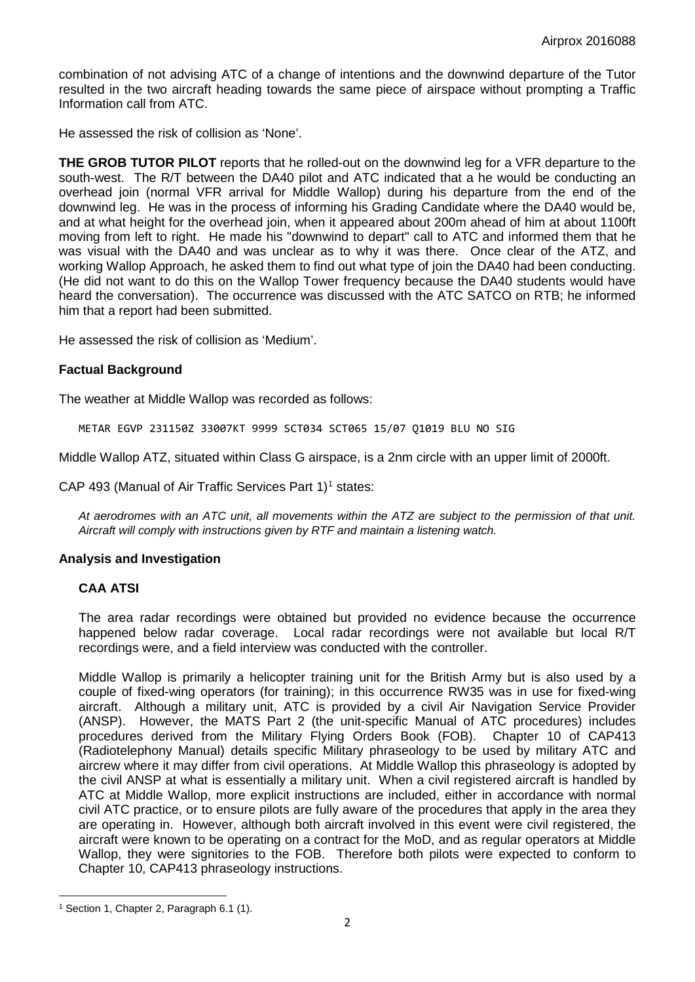combination of not advising ATC of a change of intentions and the downwind departure of the Tutor resulted in the two aircraft heading towards the same piece of airspace without prompting a Traffic Information call from ATC.

He assessed the risk of collision as 'None'.

**THE GROB TUTOR PILOT** reports that he rolled-out on the downwind leg for a VFR departure to the south-west. The R/T between the DA40 pilot and ATC indicated that a he would be conducting an overhead join (normal VFR arrival for Middle Wallop) during his departure from the end of the downwind leg. He was in the process of informing his Grading Candidate where the DA40 would be, and at what height for the overhead join, when it appeared about 200m ahead of him at about 1100ft moving from left to right. He made his "downwind to depart" call to ATC and informed them that he was visual with the DA40 and was unclear as to why it was there. Once clear of the ATZ, and working Wallop Approach, he asked them to find out what type of join the DA40 had been conducting. (He did not want to do this on the Wallop Tower frequency because the DA40 students would have heard the conversation). The occurrence was discussed with the ATC SATCO on RTB; he informed him that a report had been submitted.

He assessed the risk of collision as 'Medium'.

## **Factual Background**

The weather at Middle Wallop was recorded as follows:

METAR EGVP 231150Z 33007KT 9999 SCT034 SCT065 15/07 Q1019 BLU NO SIG

Middle Wallop ATZ, situated within Class G airspace, is a 2nm circle with an upper limit of 2000ft.

CAP 493 (Manual of Air Traffic Services Part  $1$ <sup>1</sup> states:

*At aerodromes with an ATC unit, all movements within the ATZ are subject to the permission of that unit. Aircraft will comply with instructions given by RTF and maintain a listening watch.* 

## **Analysis and Investigation**

## **CAA ATSI**

The area radar recordings were obtained but provided no evidence because the occurrence happened below radar coverage. Local radar recordings were not available but local R/T recordings were, and a field interview was conducted with the controller.

Middle Wallop is primarily a helicopter training unit for the British Army but is also used by a couple of fixed-wing operators (for training); in this occurrence RW35 was in use for fixed-wing aircraft. Although a military unit, ATC is provided by a civil Air Navigation Service Provider (ANSP). However, the MATS Part 2 (the unit-specific Manual of ATC procedures) includes procedures derived from the Military Flying Orders Book (FOB). Chapter 10 of CAP413 (Radiotelephony Manual) details specific Military phraseology to be used by military ATC and aircrew where it may differ from civil operations. At Middle Wallop this phraseology is adopted by the civil ANSP at what is essentially a military unit. When a civil registered aircraft is handled by ATC at Middle Wallop, more explicit instructions are included, either in accordance with normal civil ATC practice, or to ensure pilots are fully aware of the procedures that apply in the area they are operating in. However, although both aircraft involved in this event were civil registered, the aircraft were known to be operating on a contract for the MoD, and as regular operators at Middle Wallop, they were signitories to the FOB. Therefore both pilots were expected to conform to Chapter 10, CAP413 phraseology instructions.

<span id="page-1-0"></span> $\overline{\phantom{a}}$ <sup>1</sup> Section 1, Chapter 2, Paragraph 6.1 (1).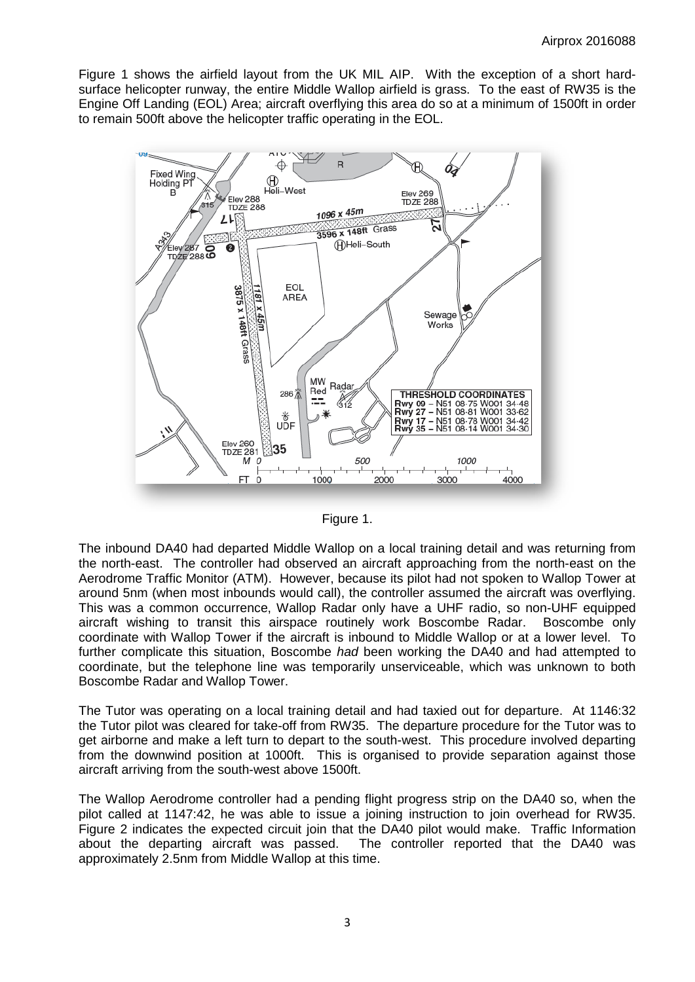Figure 1 shows the airfield layout from the UK MIL AIP. With the exception of a short hardsurface helicopter runway, the entire Middle Wallop airfield is grass. To the east of RW35 is the Engine Off Landing (EOL) Area; aircraft overflying this area do so at a minimum of 1500ft in order to remain 500ft above the helicopter traffic operating in the EOL.





The inbound DA40 had departed Middle Wallop on a local training detail and was returning from the north-east. The controller had observed an aircraft approaching from the north-east on the Aerodrome Traffic Monitor (ATM). However, because its pilot had not spoken to Wallop Tower at around 5nm (when most inbounds would call), the controller assumed the aircraft was overflying. This was a common occurrence, Wallop Radar only have a UHF radio, so non-UHF equipped aircraft wishing to transit this airspace routinely work Boscombe Radar. Boscombe only coordinate with Wallop Tower if the aircraft is inbound to Middle Wallop or at a lower level. To further complicate this situation, Boscombe *had* been working the DA40 and had attempted to coordinate, but the telephone line was temporarily unserviceable, which was unknown to both Boscombe Radar and Wallop Tower.

The Tutor was operating on a local training detail and had taxied out for departure. At 1146:32 the Tutor pilot was cleared for take-off from RW35. The departure procedure for the Tutor was to get airborne and make a left turn to depart to the south-west. This procedure involved departing from the downwind position at 1000ft. This is organised to provide separation against those aircraft arriving from the south-west above 1500ft.

The Wallop Aerodrome controller had a pending flight progress strip on the DA40 so, when the pilot called at 1147:42, he was able to issue a joining instruction to join overhead for RW35. Figure 2 indicates the expected circuit join that the DA40 pilot would make. Traffic Information about the departing aircraft was passed. The controller reported that the DA40 was approximately 2.5nm from Middle Wallop at this time.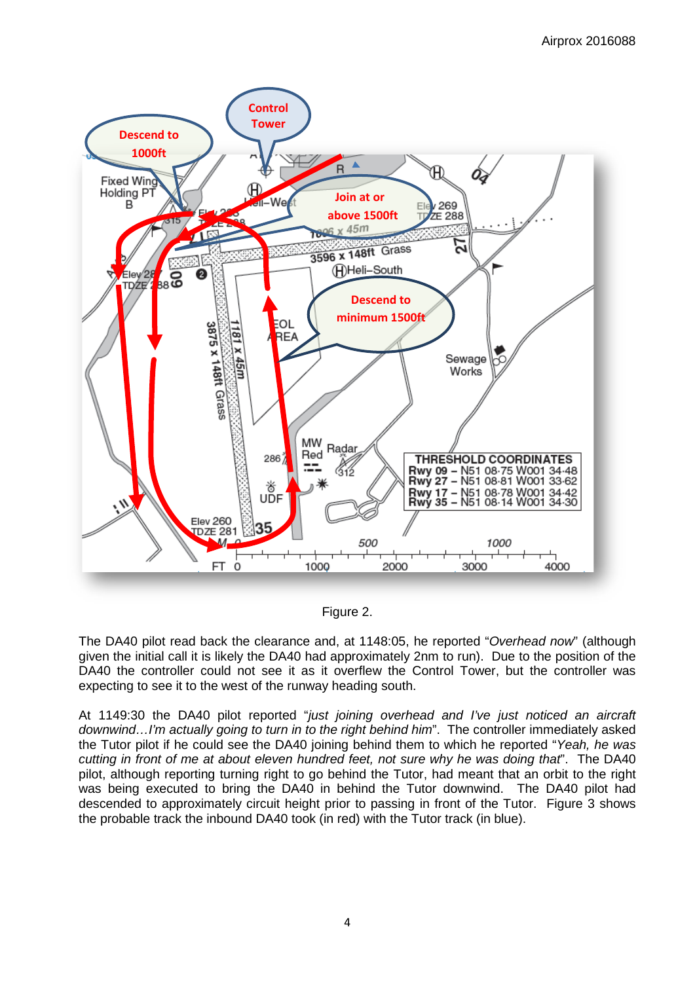

Figure 2.

The DA40 pilot read back the clearance and, at 1148:05, he reported "*Overhead now*" (although given the initial call it is likely the DA40 had approximately 2nm to run). Due to the position of the DA40 the controller could not see it as it overflew the Control Tower, but the controller was expecting to see it to the west of the runway heading south.

At 1149:30 the DA40 pilot reported "*just joining overhead and I've just noticed an aircraft downwind…I'm actually going to turn in to the right behind him*". The controller immediately asked the Tutor pilot if he could see the DA40 joining behind them to which he reported "*Yeah, he was cutting in front of me at about eleven hundred feet, not sure why he was doing that*". The DA40 pilot, although reporting turning right to go behind the Tutor, had meant that an orbit to the right was being executed to bring the DA40 in behind the Tutor downwind. The DA40 pilot had descended to approximately circuit height prior to passing in front of the Tutor. Figure 3 shows the probable track the inbound DA40 took (in red) with the Tutor track (in blue).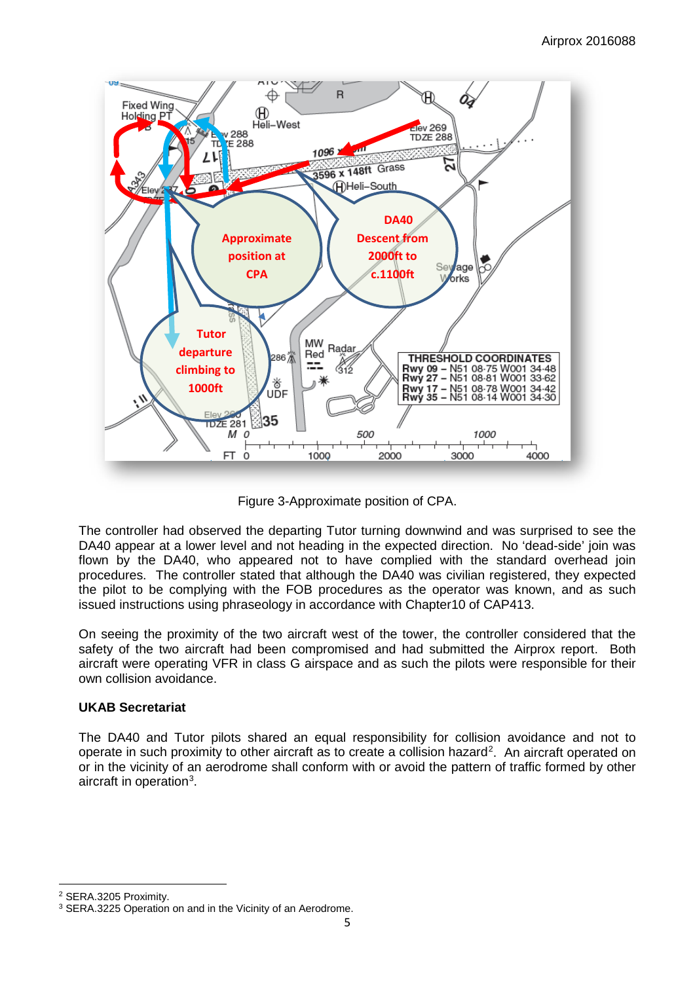

Figure 3-Approximate position of CPA.

The controller had observed the departing Tutor turning downwind and was surprised to see the DA40 appear at a lower level and not heading in the expected direction. No 'dead-side' join was flown by the DA40, who appeared not to have complied with the standard overhead join procedures. The controller stated that although the DA40 was civilian registered, they expected the pilot to be complying with the FOB procedures as the operator was known, and as such issued instructions using phraseology in accordance with Chapter10 of CAP413.

On seeing the proximity of the two aircraft west of the tower, the controller considered that the safety of the two aircraft had been compromised and had submitted the Airprox report. Both aircraft were operating VFR in class G airspace and as such the pilots were responsible for their own collision avoidance.

# **UKAB Secretariat**

The DA40 and Tutor pilots shared an equal responsibility for collision avoidance and not to operate in such proximity to other aircraft as to create a collision hazard<sup>[2](#page-4-0)</sup>. An aircraft operated on or in the vicinity of an aerodrome shall conform with or avoid the pattern of traffic formed by other aircraft in operation<sup>[3](#page-4-1)</sup>.

l

<span id="page-4-0"></span><sup>2</sup> SERA.3205 Proximity.

<span id="page-4-1"></span><sup>&</sup>lt;sup>3</sup> SERA.3225 Operation on and in the Vicinity of an Aerodrome.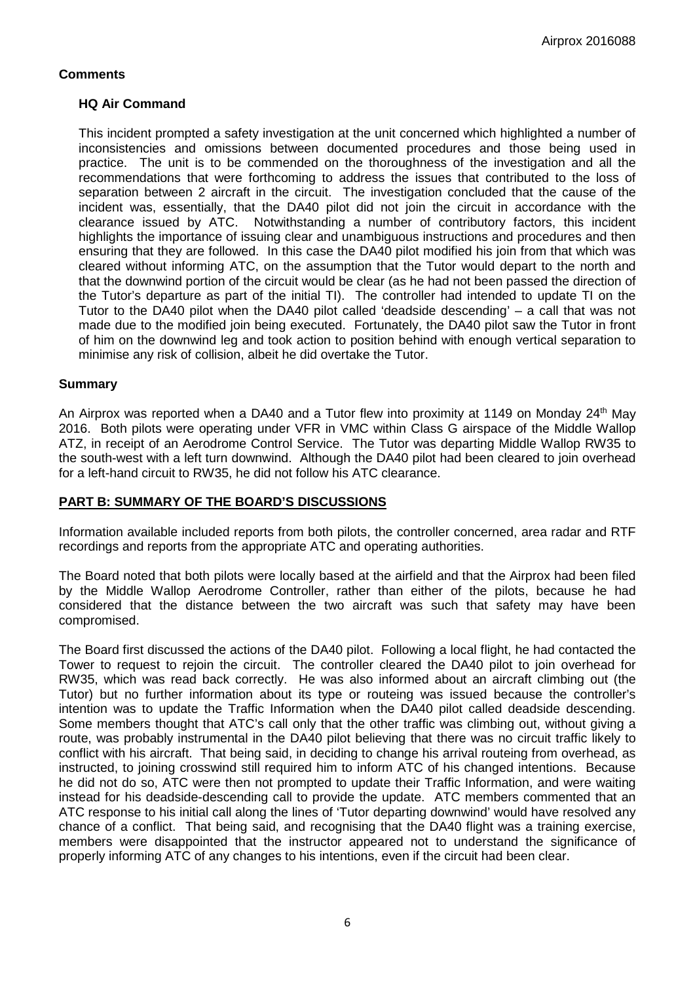## **Comments**

## **HQ Air Command**

This incident prompted a safety investigation at the unit concerned which highlighted a number of inconsistencies and omissions between documented procedures and those being used in practice. The unit is to be commended on the thoroughness of the investigation and all the recommendations that were forthcoming to address the issues that contributed to the loss of separation between 2 aircraft in the circuit. The investigation concluded that the cause of the incident was, essentially, that the DA40 pilot did not join the circuit in accordance with the clearance issued by ATC. Notwithstanding a number of contributory factors, this incident highlights the importance of issuing clear and unambiguous instructions and procedures and then ensuring that they are followed. In this case the DA40 pilot modified his join from that which was cleared without informing ATC, on the assumption that the Tutor would depart to the north and that the downwind portion of the circuit would be clear (as he had not been passed the direction of the Tutor's departure as part of the initial TI). The controller had intended to update TI on the Tutor to the DA40 pilot when the DA40 pilot called 'deadside descending' – a call that was not made due to the modified join being executed. Fortunately, the DA40 pilot saw the Tutor in front of him on the downwind leg and took action to position behind with enough vertical separation to minimise any risk of collision, albeit he did overtake the Tutor.

## **Summary**

An Airprox was reported when a DA40 and a Tutor flew into proximity at 1149 on Monday 24<sup>th</sup> May 2016. Both pilots were operating under VFR in VMC within Class G airspace of the Middle Wallop ATZ, in receipt of an Aerodrome Control Service. The Tutor was departing Middle Wallop RW35 to the south-west with a left turn downwind. Although the DA40 pilot had been cleared to join overhead for a left-hand circuit to RW35, he did not follow his ATC clearance.

## **PART B: SUMMARY OF THE BOARD'S DISCUSSIONS**

Information available included reports from both pilots, the controller concerned, area radar and RTF recordings and reports from the appropriate ATC and operating authorities.

The Board noted that both pilots were locally based at the airfield and that the Airprox had been filed by the Middle Wallop Aerodrome Controller, rather than either of the pilots, because he had considered that the distance between the two aircraft was such that safety may have been compromised.

The Board first discussed the actions of the DA40 pilot. Following a local flight, he had contacted the Tower to request to rejoin the circuit. The controller cleared the DA40 pilot to join overhead for RW35, which was read back correctly. He was also informed about an aircraft climbing out (the Tutor) but no further information about its type or routeing was issued because the controller's intention was to update the Traffic Information when the DA40 pilot called deadside descending. Some members thought that ATC's call only that the other traffic was climbing out, without giving a route, was probably instrumental in the DA40 pilot believing that there was no circuit traffic likely to conflict with his aircraft. That being said, in deciding to change his arrival routeing from overhead, as instructed, to joining crosswind still required him to inform ATC of his changed intentions. Because he did not do so, ATC were then not prompted to update their Traffic Information, and were waiting instead for his deadside-descending call to provide the update. ATC members commented that an ATC response to his initial call along the lines of 'Tutor departing downwind' would have resolved any chance of a conflict. That being said, and recognising that the DA40 flight was a training exercise, members were disappointed that the instructor appeared not to understand the significance of properly informing ATC of any changes to his intentions, even if the circuit had been clear.